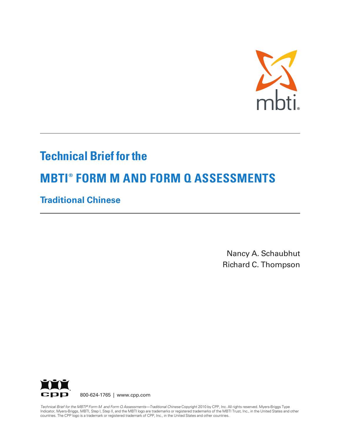

## **Technical Brief for the**

# **MBTI ® FORM M AND FORM Q ASSESSMENTS**

## **Traditional Chinese**

Nancy A. Schaubhut Richard C. Thompson



Technical Brief for the MBTI® Form M and Form Q Assessments—Traditional Chinese Copyright 2010 by CPP, Inc. All rights reserved. Myers-Briggs Type Indicator, Myers-Briggs, MBTI, Step I, Step II, and the MBTI logo are trademarks or registered trademarks of the MBTI Trust, Inc., in the United States and other countries. The CPP logo is a trademark or registered trademark of CPP, Inc., in the United States and other countries.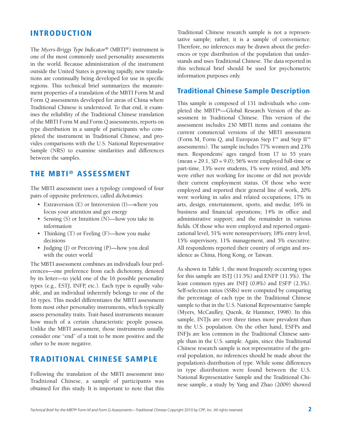#### **INTRODUCTION**

The *Myers-Briggs Type Indicator®* (MBTI®) instrument is one of the most commonly used personality assessments in the world. Because administration of the instrument outside the United States is growing rapidly, new translations are continually being developed for use in specific regions. This technical brief summarizes the measurement properties of a translation of the MBTI Form M and Form Q assessments developed for areas of China where Traditional Chinese is understood. To that end, it examines the reliability of the Traditional Chinese translation of the MBTI Form M and Form Q assessments, reports on type distribution in a sample of participants who completed the instrument in Traditional Chinese, and provides comparisons with the U.S. National Representative Sample (NRS) to examine similarities and differences between the samples.

#### **THE MBTI ® ASSESSMENT**

The MBTI assessment uses a typology composed of four pairs of opposite preferences, called *dichotomies:*

- Extraversion (E) or Introversion (I)—where you focus your attention and get energy
- Sensing (S) or Intuition (N)—how you take in information
- Thinking (T) or Feeling (F)—how you make decisions
- Judging (J) or Perceiving (P)—how you deal with the outer world

The MBTI assessment combines an individual's four preferences—one preference from each dichotomy, denoted by its letter—to yield one of the 16 possible personality types (e.g., ESTJ, INFP, etc.). Each type is equally valuable, and an individual inherently belongs to one of the 16 types. This model differentiates the MBTI assessment from most other personality instruments, which typically assess personality traits. Trait-based instruments measure how much of a certain characteristic people possess. Unlike the MBTI assessment, those instruments usually consider one "end" of a trait to be more positive and the other to be more negative.

#### **TRADITIONAL CHINESE SAMPLE**

Following the translation of the MBTI assessment into Traditional Chinese, a sample of participants was obtained for this study. It is important to note that this Traditional Chinese research sample is not a representative sample; rather, it is a sample of convenience. Therefore, no inferences may be drawn about the preferences or type distribution of the population that understands and uses Traditional Chinese. The data reported in this technical brief should be used for psychometric information purposes only.

#### **Traditional Chinese Sample Description**

This sample is composed of 131 individuals who completed the MBTI®—Global Research Version of the assessment in Traditional Chinese. This version of the assessment includes 230 MBTI items and contains the current commercial versions of the MBTI assessment (Form M, Form Q, and European Step I™ and Step II™ assessments). The sample includes 77% women and 23% men. Respondents' ages ranged from 17 to 55 years (mean = 29.1, *SD* = 9.0); 56% were employed full-time or part-time, 13% were students, 1% were retired, and 30% were either not working for income or did not provide their current employment status. Of those who were employed and reported their general line of work, 20% were working in sales and related occupations; 17% in arts, design, entertainment, sports, and media; 16% in business and financial operations; 14% in office and administrative support; and the remainder in various fields. Of those who were employed and reported organizational level, 51% were nonsupervisory, 18% entry level, 15% supervisory, 11% management, and 5% executive. All respondents reported their country of origin and residence as China, Hong Kong, or Taiwan.

As shown in Table 1, the most frequently occurring types for this sample are ISTJ (11.5%) and ENFP (11.5%). The least common types are INFJ (0.8%) and ESFP (2.3%). Self-selection ratios (SSRs) were computed by comparing the percentage of each type in the Traditional Chinese sample to that in the U.S. National Representative Sample (Myers, McCaulley, Quenk, & Hammer, 1998). In this sample, INTJs are over three times more prevalent than in the U.S. population. On the other hand, ESFPs and INFJs are less common in the Traditional Chinese sample than in the U.S. sample. Again, since this Traditional Chinese research sample is not representative of the general population, no inferences should be made about the population's distribution of type. While some differences in type distribution were found between the U.S. National Representative Sample and the Traditional Chinese sample, a study by Yang and Zhao (2009) showed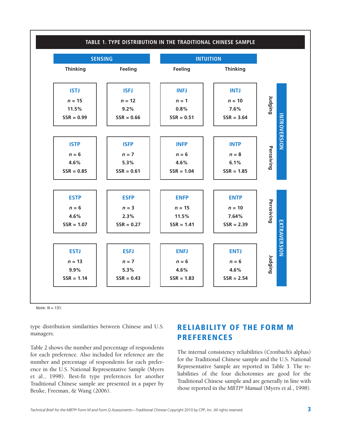

*Note: N* = 131.

type distribution similarities between Chinese and U.S. managers.

Table 2 shows the number and percentage of respondents for each preference. Also included for reference are the number and percentage of respondents for each preference in the U.S. National Representative Sample (Myers et al., 1998). Best-fit type preferences for another Traditional Chinese sample are presented in a paper by Beuke, Freeman, & Wang (2006).

### **RELIABILITY OF THE FORM M PREFERENCES**

The internal consistency reliabilities (Cronbach's alphas) for the Traditional Chinese sample and the U.S. National Representative Sample are reported in Table 3. The reliabilities of the four dichotomies are good for the Traditional Chinese sample and are generally in line with those reported in the *MBTI® Manual* (Myers et al., 1998).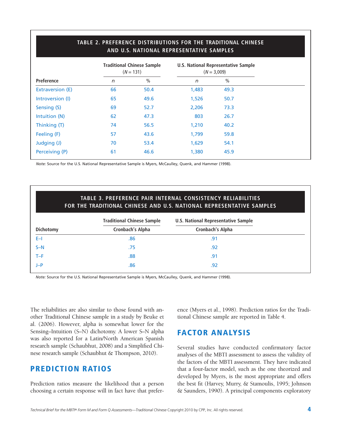|                  |    | <b>Traditional Chinese Sample</b><br>$(N = 131)$ | <b>U.S. National Representative Sample</b><br>$(N = 3,009)$ |               |  |
|------------------|----|--------------------------------------------------|-------------------------------------------------------------|---------------|--|
| Preference       | n  | $\frac{0}{0}$                                    | $\sqrt{n}$                                                  | $\frac{0}{0}$ |  |
| Extraversion (E) | 66 | 50.4                                             | 1,483                                                       | 49.3          |  |
| Introversion (I) | 65 | 49.6                                             | 1,526                                                       | 50.7          |  |
| Sensing (S)      | 69 | 52.7                                             | 2,206                                                       | 73.3          |  |
| Intuition (N)    | 62 | 47.3                                             | 803                                                         | 26.7          |  |
| Thinking (T)     | 74 | 56.5                                             | 1,210                                                       | 40.2          |  |
| Feeling (F)      | 57 | 43.6                                             | 1,799                                                       | 59.8          |  |
| Judging (J)      | 70 | 53.4                                             | 1,629                                                       | 54.1          |  |
| Perceiving (P)   | 61 | 46.6                                             | 1,380                                                       | 45.9          |  |

#### **TABLE 2. PREFERENCE DISTRIBUTIONS FOR THE TRADITIONAL CHINESE AND U.S. NATIONAL REPRESENTATIVE SAMPLES**

*Note:* Source for the U.S. National Representative Sample is Myers, McCaulley, Quenk, and Hammer (1998).

|                  | <b>TABLE 3. PREFERENCE PAIR INTERNAL CONSISTENCY RELIABILITIES</b><br>FOR THE TRADITIONAL CHINESE AND U.S. NATIONAL REPRESENTATIVE SAMPLES |                                            |  |  |  |  |
|------------------|--------------------------------------------------------------------------------------------------------------------------------------------|--------------------------------------------|--|--|--|--|
|                  | <b>Traditional Chinese Sample</b>                                                                                                          | <b>U.S. National Representative Sample</b> |  |  |  |  |
| <b>Dichotomy</b> | <b>Cronbach's Alpha</b>                                                                                                                    | Cronbach's Alpha                           |  |  |  |  |
| $E-1$            | .86                                                                                                                                        | .91                                        |  |  |  |  |
| $S-N$            | .75                                                                                                                                        | .92                                        |  |  |  |  |
| $T-F$            | .88                                                                                                                                        | .91                                        |  |  |  |  |
| $J-P$            | .86                                                                                                                                        | .92                                        |  |  |  |  |

*Note:* Source for the U.S. National Representative Sample is Myers, McCaulley, Quenk, and Hammer (1998).

The reliabilities are also similar to those found with another Traditional Chinese sample in a study by Beuke et al. (2006). However, alpha is somewhat lower for the Sensing–Intuition (S–N) dichotomy. A lower S–N alpha was also reported for a Latin/North American Spanish research sample (Schaubhut, 2008) and a Simplified Chinese research sample (Schaubhut & Thompson, 2010).

#### **PREDICTION RATIOS**

Prediction ratios measure the likelihood that a person choosing a certain response will in fact have that preference (Myers et al., 1998). Prediction ratios for the Traditional Chinese sample are reported in Table 4.

### **FACTOR ANALYSIS**

Several studies have conducted confirmatory factor analyses of the MBTI assessment to assess the validity of the factors of the MBTI assessment. They have indicated that a four-factor model, such as the one theorized and developed by Myers, is the most appropriate and offers the best fit (Harvey, Murry, & Stamoulis, 1995; Johnson & Saunders, 1990). A principal components exploratory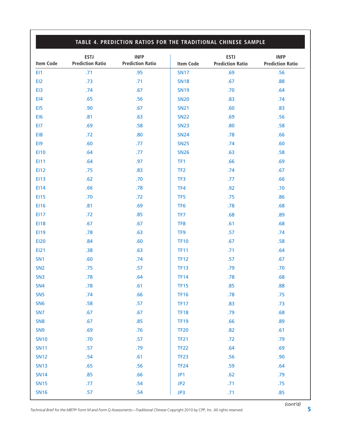#### SN17 .69 .56 SN18 .67 .88 SN19 .70 .64 SN20 .83 .74 SN21 .60 .83 SN22 .69 .56 SN23 .80 .80 .58 SN24 .78 .66 SN25 .74 .60 SN26 .63 .58 TF1 .66 .69 TF2 .67 TF3 .06 TF4 .92 .70 TF5 .75 .86 TF6 .00 .78 .68 TF7 .68 .89 TF8 .61 .68 TF9 .57 .74 TF10 .67 .58 TF11 .64 TF12 .57 .67 TF13 .79 .70 TF14 .78 .68 **TF15** .85 .88 TF16 .78 .75 TF17 .83 .83 TF18 .08 **TF19** .66 .89 TF20 .82 .61 TF21 .72 .79 TF22 .64 .69 **TF23** .56 .90 TF24 .59 .64 JP1 .62 .79 JP2 .71 .75 JP3 .71 .85 **TABLE 4. PREDICTION RATIOS FOR THE TRADITIONAL CHINESE SAMPLE ESTJ INFP Item Code Prediction Ratio Prediction Ratio** EI1 .95 EI2 .73 .73 EI3 .57 EI4 .65 .56 EI5 .90 .90 EI6 .81 .63 EI7 .69 .69 EI8 .30 EI9 .60 .77 EI10 .64 .77 EI11 .64 .97 EI12 .75 .83 EI13 .62 .70 EI14 .66 .78 EI15 .70 .72 EI16 .81 .69 EI17 .72 .85 EI18 .67 .67 EI19 .78 .63 EI20 .84 .60 EI21 .38 .63 SN1 .60 .50 .74 SN2 .75 .57 SN3 .78 .64 SN4 .78 .61 SN5 .74 .66 SN6 .58 .57 SN7 .67 .67 SN8 .67 .67 SN9 .69 .76 SN10 .70 .57 SN11 .57 .79 SN12 .54 .61 SN13 .65 .56 SN14 .85 .66 SN15 .77 .54 SN16 .57 .57 **ESTJ INFP Item Code Prediction Ratio Prediction Ratio**

Technical Brief for the MBTI® Form M and Form Q Assessments—Traditional Chinese Copyright 2010 by CPP, Inc. All rights reserved.  $5\,$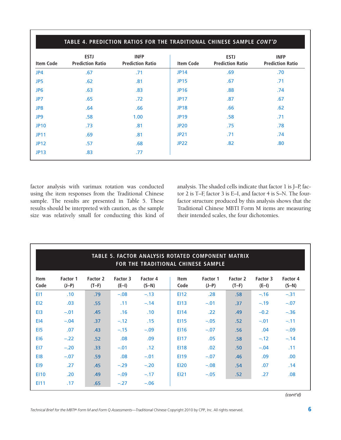| TABLE 4. PREDICTION RATIOS FOR THE TRADITIONAL CHINESE SAMPLE CONT'D |                                        |                                        |                  |                                        |                                        |  |  |
|----------------------------------------------------------------------|----------------------------------------|----------------------------------------|------------------|----------------------------------------|----------------------------------------|--|--|
| <b>Item Code</b>                                                     | <b>ESTJ</b><br><b>Prediction Ratio</b> | <b>INFP</b><br><b>Prediction Ratio</b> | <b>Item Code</b> | <b>ESTJ</b><br><b>Prediction Ratio</b> | <b>INFP</b><br><b>Prediction Ratio</b> |  |  |
| JP4                                                                  | .67                                    | .71                                    | <b>JP14</b>      | .69                                    | .70                                    |  |  |
| JP5                                                                  | .62                                    | .81                                    | <b>JP15</b>      | .67                                    | .71                                    |  |  |
| JP <sub>6</sub>                                                      | .63                                    | .83                                    | <b>JP16</b>      | .88                                    | .74                                    |  |  |
| JP7                                                                  | .65                                    | .72 <sub>1</sub>                       | <b>JP17</b>      | .87                                    | .67                                    |  |  |
| JP8                                                                  | .64                                    | .66                                    | <b>JP18</b>      | .66                                    | .62                                    |  |  |
| JP9                                                                  | .58                                    | 1.00                                   | <b>JP19</b>      | .58                                    | .71                                    |  |  |
| <b>JP10</b>                                                          | .73                                    | .81                                    | <b>JP20</b>      | .75                                    | .78                                    |  |  |
| <b>JP11</b>                                                          | .69                                    | .81                                    | <b>JP21</b>      | .71                                    | .74                                    |  |  |
| <b>JP12</b>                                                          | .57                                    | .68                                    | <b>JP22</b>      | .82                                    | .80                                    |  |  |
| <b>JP13</b>                                                          | .83                                    | .77                                    |                  |                                        |                                        |  |  |

factor analysis with varimax rotation was conducted using the item responses from the Traditional Chinese sample. The results are presented in Table 5. These results should be interpreted with caution, as the sample size was relatively small for conducting this kind of analysis. The shaded cells indicate that factor 1 is J–P, factor 2 is T–F, factor 3 is E–I, and factor 4 is S–N. The fourfactor structure produced by this analysis shows that the Traditional Chinese MBTI Form M items are measuring their intended scales, the four dichotomies.

|                     |                     |                     |                     | TABLE 5. FACTOR ANALYSIS ROTATED COMPONENT MATRIX<br>FOR THE TRADITIONAL CHINESE SAMPLE |                     |                     |                     |                     |                     |
|---------------------|---------------------|---------------------|---------------------|-----------------------------------------------------------------------------------------|---------------------|---------------------|---------------------|---------------------|---------------------|
| <b>Item</b><br>Code | Factor 1<br>$(J-P)$ | Factor 2<br>$(T-F)$ | Factor 3<br>$(E-I)$ | Factor 4<br>$(S-N)$                                                                     | <b>Item</b><br>Code | Factor 1<br>$(J-P)$ | Factor 2<br>$(T-F)$ | Factor 3<br>$(E-I)$ | Factor 4<br>$(S-N)$ |
| E <sub>11</sub>     | .10                 | .79                 | $-.08$              | $-.13$                                                                                  | <b>EI12</b>         | .28                 | .58                 | $-.16$              | $-.31$              |
| EI <sub>2</sub>     | .03                 | .55                 | .11                 | $-.14$                                                                                  | E113                | $-.01$              | .37                 | $-.19$              | $-.07$              |
| E <sub>13</sub>     | $-.01$              | .45                 | .16                 | .10                                                                                     | E114                | .22                 | .49                 | $-0.2$              | $-.36$              |
| E <sub>14</sub>     | $-.04$              | .37                 | $-.12$              | .15                                                                                     | <b>EI15</b>         | $-.05$              | .52                 | $-.01$              | $-.11$              |
| E <sub>15</sub>     | .07                 | .43                 | $-.15$              | $-.09$                                                                                  | EI16                | $-.07$              | .56                 | .04                 | $-.09$              |
| EI6                 | $-.22$              | .52                 | .08                 | .09                                                                                     | <b>EI17</b>         | .05                 | .58                 | $-.12$              | $-.14$              |
| EI7                 | $-.20$              | .33                 | $-.01$              | .12                                                                                     | <b>EI18</b>         | .02                 | .50 <sub>1</sub>    | $-.04$              | .11                 |
| E <sub>18</sub>     | $-.07$              | .59                 | .08                 | $-.01$                                                                                  | <b>EI19</b>         | $-.07$              | .46                 | .09                 | .00                 |
| E <sub>19</sub>     | .27                 | .45                 | $-.29$              | $-.20$                                                                                  | <b>EI20</b>         | $-.08$              | .54                 | .07                 | .14                 |
| <b>EI10</b>         | .20                 | .49                 | $-.09$              | $-.17$                                                                                  | <b>EI21</b>         | $-.05$              | .52                 | .27                 | .08                 |
| EI11                | .17                 | .65                 | $-.27$              | $-.06$                                                                                  |                     |                     |                     |                     |                     |

*(cont'd)*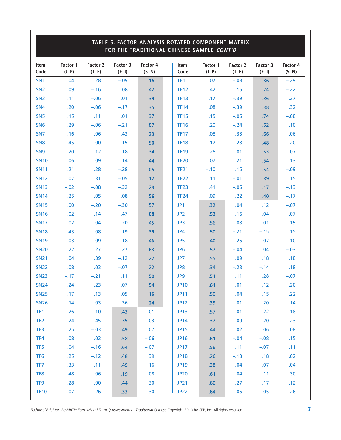| TABLE 5. FACTOR ANALYSIS ROTATED COMPONENT MATRIX<br>FOR THE TRADITIONAL CHINESE SAMPLE CONT'D |                     |                     |                     |                     |                 |                     |                            |                     |                     |
|------------------------------------------------------------------------------------------------|---------------------|---------------------|---------------------|---------------------|-----------------|---------------------|----------------------------|---------------------|---------------------|
| Item<br>Code                                                                                   | Factor 1<br>$(J-P)$ | Factor 2<br>$(T-F)$ | Factor 3<br>$(E-I)$ | Factor 4<br>$(S-N)$ | Item<br>Code    | Factor 1<br>$(J-P)$ | <b>Factor 2</b><br>$(T-F)$ | Factor 3<br>$(E-I)$ | Factor 4<br>$(S-N)$ |
| SN <sub>1</sub>                                                                                | .04                 | .28                 | $-.09$              | .16                 | <b>TF11</b>     | .07                 | $-.08$                     | .36                 | $-.29$              |
| SN <sub>2</sub>                                                                                | .09                 | $-.16$              | .08                 | .42                 | <b>TF12</b>     | .42                 | .16                        | .24                 | $-.22$              |
| SN <sub>3</sub>                                                                                | .11                 | $-.06$              | .01                 | .39                 | <b>TF13</b>     | .17                 | $-.39$                     | .36                 | .27                 |
| SN <sub>4</sub>                                                                                | .20                 | $-.06$              | $-.17$              | .35                 | <b>TF14</b>     | .08                 | $-.39$                     | .38                 | .32                 |
| SN <sub>5</sub>                                                                                | .15                 | .11                 | .01                 | .37                 | <b>TF15</b>     | .15                 | $-.05$                     | .74                 | $-.08$              |
| SN <sub>6</sub>                                                                                | .29                 | $-.06$              | $-.21$              | .07                 | <b>TF16</b>     | .20                 | $-.24$                     | .52                 | .10                 |
| SN <sub>7</sub>                                                                                | .16                 | $-.06$              | $-.43$              | .23                 | <b>TF17</b>     | .08                 | $-.33$                     | .66                 | .06                 |
| SN <sub>8</sub>                                                                                | .45                 | .00.                | .15                 | .50                 | <b>TF18</b>     | .17                 | $-.28$                     | .48                 | .20                 |
| SN <sub>9</sub>                                                                                | .20                 | .12                 | $-.18$              | .34                 | <b>TF19</b>     | .26                 | $-.01$                     | .53                 | $-.07$              |
| <b>SN10</b>                                                                                    | .06                 | .09                 | .14                 | .44                 | <b>TF20</b>     | .07                 | .21                        | .54                 | .13                 |
| <b>SN11</b>                                                                                    | .21                 | .28                 | $-.28$              | .05                 | <b>TF21</b>     | $-.10$              | .15                        | .54                 | $-.09$              |
| <b>SN12</b>                                                                                    | .07                 | .31                 | $-.05$              | $-.12$              | <b>TF22</b>     | .11                 | $-.01$                     | .39                 | .15                 |
| <b>SN13</b>                                                                                    | $-.02$              | $-.08$              | $-.32$              | .29                 | <b>TF23</b>     | .41                 | $-.05$                     | .17                 | $-.13$              |
| <b>SN14</b>                                                                                    | .25                 | .05                 | .08                 | .56                 | <b>TF24</b>     | .09                 | .22                        | .40                 | $-.17$              |
| <b>SN15</b>                                                                                    | .00.                | $-.20$              | $-.30$              | .57                 | JP1             | .32                 | .04                        | .12                 | $-.07$              |
| <b>SN16</b>                                                                                    | .02                 | $-.14$              | .47                 | .08                 | JP <sub>2</sub> | .53                 | $-.16$                     | .04                 | .07                 |
| <b>SN17</b>                                                                                    | .02                 | .04                 | $-.20$              | .45                 | JP3             | .56                 | $-.08$                     | .01                 | .15                 |
| <b>SN18</b>                                                                                    | .43                 | $-.08$              | .19                 | .39                 | JP4             | .50                 | $-.21$                     | $-.15$              | .15                 |
| <b>SN19</b>                                                                                    | .03                 | $-.09$              | $-.18$              | .46                 | JP5             | .40                 | .25                        | .07                 | .10                 |
| <b>SN20</b>                                                                                    | .22                 | .27                 | .27                 | .63                 | JP <sub>6</sub> | .57                 | $-.04$                     | .04                 | $-.03$              |
| <b>SN21</b>                                                                                    | .04                 | .39                 | $-.12$              | .22                 | JP7             | .55                 | .09                        | .18                 | .18                 |
| <b>SN22</b>                                                                                    | .08                 | .03                 | $-.07$              | .22                 | JP8             | .34                 | $-.23$                     | $-.14$              | .18                 |
| <b>SN23</b>                                                                                    | $-.17$              | $-.21$              | .11                 | .50                 | JP9             | .51                 | .11                        | .28                 | $-.07$              |
| <b>SN24</b>                                                                                    | .24                 | $-.23$              | $-.07$              | .54                 | <b>JP10</b>     | .61                 | $-.01$                     | .12                 | .20                 |
| <b>SN25</b>                                                                                    | .17                 | .13                 | .05                 | .16                 | <b>JP11</b>     | .50                 | .04                        | .15                 | .22                 |
| <b>SN26</b>                                                                                    | $-.14$              | .03                 | $-.36$              | .24                 | <b>JP12</b>     | .35                 | $-.01$                     | .20                 | $-.14$              |
| TF1                                                                                            | .26                 | $-.10$              | .43                 | .01                 | <b>JP13</b>     | .57                 | $-.01$                     | .22                 | .18                 |
| TF <sub>2</sub>                                                                                | .24                 | $-.45$              | .35                 | $-.03$              | <b>JP14</b>     | .37                 | $-.09$                     | .20                 | .23                 |
| TF3                                                                                            | .25                 | $-.03$              | .49                 | .07                 | <b>JP15</b>     | .44                 | .02                        | .06                 | .08                 |
| TF4                                                                                            | .08                 | .02                 | .58                 | $-.06$              | <b>JP16</b>     | .61                 | $-.04$                     | $-.08$              | .15                 |
| TF <sub>5</sub>                                                                                | .04                 | $-.16$              | .64                 | $-.07$              | <b>JP17</b>     | .56                 | .11                        | $-.07$              | .11                 |
| TF <sub>6</sub>                                                                                | .25                 | $-.12$              | .48                 | .39                 | <b>JP18</b>     | .26                 | $-.13$                     | .18                 | .02                 |
| TF7                                                                                            | .33                 | $-.11$              | .49                 | $-.16$              | <b>JP19</b>     | .38                 | .04                        | .07                 | $-.04$              |
| TF8                                                                                            | .48                 | .06                 | .19                 | .08                 | <b>JP20</b>     | .61                 | $-.04$                     | $-.11$              | .30                 |
| TF9                                                                                            | .28                 | .00                 | .44                 | $-.30$              | <b>JP21</b>     | .60                 | .27                        | .17                 | .12                 |
| <b>TF10</b>                                                                                    | $-.07$              | $-.26$              | .33                 | .30                 | <b>JP22</b>     | .64                 | .05                        | .05                 | .26                 |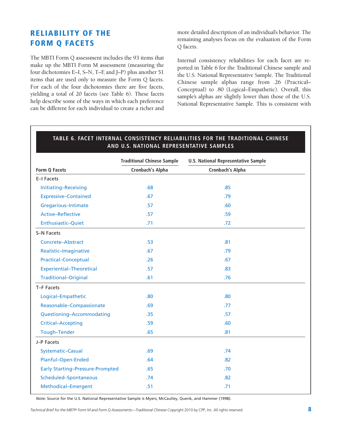### **RELIABILITY OF THE FORM Q FACETS**

The MBTI Form Q assessment includes the 93 items that make up the MBTI Form M assessment (measuring the four dichotomies E–I, S–N, T–F, and J–P) plus another 51 items that are used only to measure the Form Q facets. For each of the four dichotomies there are five facets, yielding a total of 20 facets (see Table 6). These facets help describe some of the ways in which each preference can be different for each individual to create a richer and

more detailed description of an individual's behavior. The remaining analyses focus on the evaluation of the Form Q facets.

Internal consistency reliabilities for each facet are reported in Table 6 for the Traditional Chinese sample and the U.S. National Representative Sample. The Traditional Chinese sample alphas range from .26 (Practical– Conceptual) to .80 (Logical–Empathetic). Overall, this sample's alphas are slightly lower than those of the U.S. National Representative Sample. This is consistent with

|                                         | <b>Traditional Chinese Sample</b> | <b>U.S. National Representative Sample</b> |  |  |
|-----------------------------------------|-----------------------------------|--------------------------------------------|--|--|
| Form Q Facets                           | Cronbach's Alpha                  | Cronbach's Alpha                           |  |  |
| E-I Facets                              |                                   |                                            |  |  |
| Initiating-Receiving                    | .68                               | .85                                        |  |  |
| <b>Expressive-Contained</b>             | .67                               | .79                                        |  |  |
| Gregarious-Intimate                     | .57                               | .60                                        |  |  |
| <b>Active-Reflective</b>                | .57                               | .59                                        |  |  |
| Enthusiastic-Quiet                      | .71                               | .72                                        |  |  |
| S-N Facets                              |                                   |                                            |  |  |
| Concrete-Abstract                       | .53                               | .81                                        |  |  |
| Realistic-Imaginative                   | .67                               | .79                                        |  |  |
| <b>Practical-Conceptual</b>             | .26                               | .67                                        |  |  |
| <b>Experiential-Theoretical</b>         | .57                               | .83                                        |  |  |
| <b>Traditional-Original</b>             | .61                               | .76                                        |  |  |
| T-F Facets                              |                                   |                                            |  |  |
| Logical-Empathetic                      | .80                               | .80                                        |  |  |
| Reasonable-Compassionate                | .69                               | .77                                        |  |  |
| Questioning-Accommodating               | .35                               | .57                                        |  |  |
| <b>Critical-Accepting</b>               | .59                               | .60                                        |  |  |
| Tough-Tender                            | .65                               | .81                                        |  |  |
| J-P Facets                              |                                   |                                            |  |  |
| Systematic-Casual                       | .69                               | .74                                        |  |  |
| Planful-Open-Ended                      | .64                               | .82                                        |  |  |
| <b>Early Starting-Pressure-Prompted</b> | .65                               | .70                                        |  |  |
| Scheduled-Spontaneous                   | .74                               | .82                                        |  |  |
| Methodical-Emergent                     | .51                               | .71                                        |  |  |
|                                         |                                   |                                            |  |  |

## **TABLE 6. FACET INTERNAL CONSISTENCY RELIABILITIES FOR THE TRADITIONAL CHINESE**

*Note:* Source for the U.S. National Representative Sample is Myers, McCaulley, Quenk, and Hammer (1998).

Technical Brief for the MBT/® Form M and Form Q Assessments—Traditional Chinese Copyright 2010 by CPP, Inc. All rights reserved.